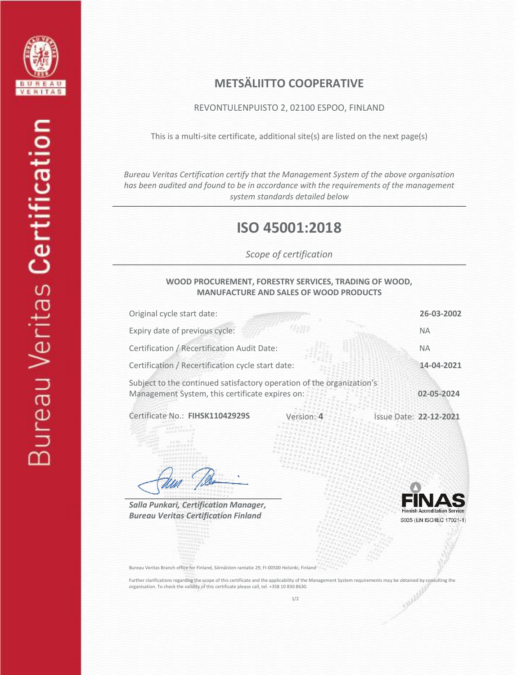

## **METSÄLIITTO COOPERATIVE**

REVONTULENPUISTO 2, 02100 ESPOO, FINLAND

This is a multi-site certificate, additional site(s) are listed on the next page(s)

*Bureau Veritas Certification certify that the Management System of the above organisation has been audited and found to be in accordance with the requirements of the management system standards detailed below*

# **ISO 45001:2018**

*Scope of certification*

#### **WOOD PROCUREMENT, FORESTRY SERVICES, TRADING OF WOOD, MANUFACTURE AND SALES OF WOOD PRODUCTS**

| Original cycle start date:                                                                                               |            |                               | 26-03-2002 |
|--------------------------------------------------------------------------------------------------------------------------|------------|-------------------------------|------------|
| Expiry date of previous cycle:                                                                                           |            |                               | <b>NA</b>  |
| Certification / Recertification Audit Date:                                                                              |            |                               | <b>NA</b>  |
| Certification / Recertification cycle start date:                                                                        |            |                               | 14-04-2021 |
| Subject to the continued satisfactory operation of the organization's<br>Management System, this certificate expires on: |            |                               | 02-05-2024 |
| Certificate No.: FIHSK11042929S                                                                                          | Version: 4 | <b>Issue Date: 22-12-2021</b> |            |

*Salla Punkari, Certification Manager, Bureau Veritas Certification Finland*



Bureau Veritas Branch office for Finland, Sörnäisten rantatie 29, FI-00500 Helsinki, Finland

Further clarifications regarding the scope of this certificate and the applicability of the Management System requirements may be obtained by consulting the organisation. To check the validity of this certificate please ca organisation. To check the validity of this certificate please call, tel. +358 10 830 8630.